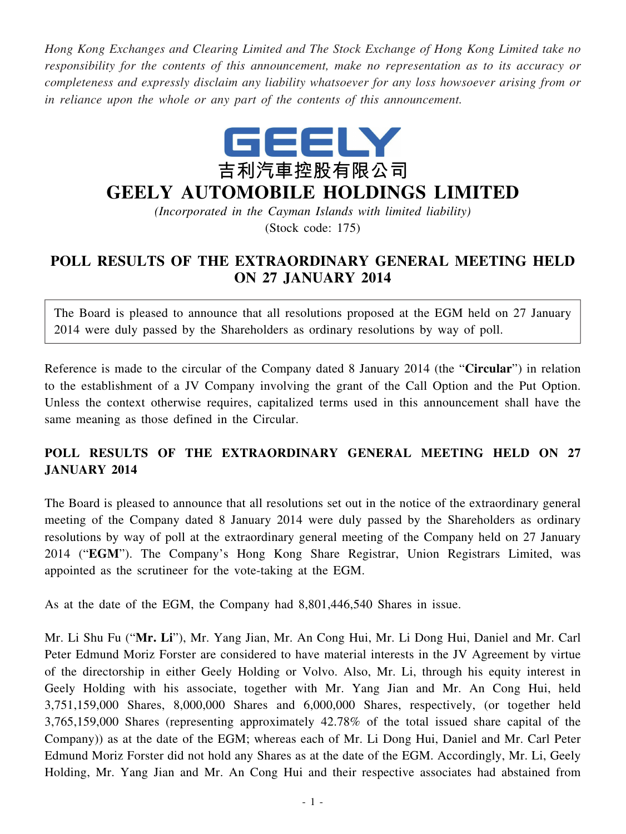*Hong Kong Exchanges and Clearing Limited and The Stock Exchange of Hong Kong Limited take no responsibility for the contents of this announcement, make no representation as to its accuracy or completeness and expressly disclaim any liability whatsoever for any loss howsoever arising from or in reliance upon the whole or any part of the contents of this announcement.*



## **GEELY AUTOMOBILE HOLDINGS LIMITED**

*(Incorporated in the Cayman Islands with limited liability)* (Stock code: 175)

## **POLL RESULTS OF THE EXTRAORDINARY GENERAL MEETING HELD ON 27 JANUARY 2014**

The Board is pleased to announce that all resolutions proposed at the EGM held on 27 January 2014 were duly passed by the Shareholders as ordinary resolutions by way of poll.

Reference is made to the circular of the Company dated 8 January 2014 (the "**Circular**") in relation to the establishment of a JV Company involving the grant of the Call Option and the Put Option. Unless the context otherwise requires, capitalized terms used in this announcement shall have the same meaning as those defined in the Circular.

## **POLL RESULTS OF THE EXTRAORDINARY GENERAL MEETING HELD ON 27 JANUARY 2014**

The Board is pleased to announce that all resolutions set out in the notice of the extraordinary general meeting of the Company dated 8 January 2014 were duly passed by the Shareholders as ordinary resolutions by way of poll at the extraordinary general meeting of the Company held on 27 January 2014 ("**EGM**"). The Company's Hong Kong Share Registrar, Union Registrars Limited, was appointed as the scrutineer for the vote-taking at the EGM.

As at the date of the EGM, the Company had 8,801,446,540 Shares in issue.

Mr. Li Shu Fu ("**Mr. Li**"), Mr. Yang Jian, Mr. An Cong Hui, Mr. Li Dong Hui, Daniel and Mr. Carl Peter Edmund Moriz Forster are considered to have material interests in the JV Agreement by virtue of the directorship in either Geely Holding or Volvo. Also, Mr. Li, through his equity interest in Geely Holding with his associate, together with Mr. Yang Jian and Mr. An Cong Hui, held 3,751,159,000 Shares, 8,000,000 Shares and 6,000,000 Shares, respectively, (or together held 3,765,159,000 Shares (representing approximately 42.78% of the total issued share capital of the Company)) as at the date of the EGM; whereas each of Mr. Li Dong Hui, Daniel and Mr. Carl Peter Edmund Moriz Forster did not hold any Shares as at the date of the EGM. Accordingly, Mr. Li, Geely Holding, Mr. Yang Jian and Mr. An Cong Hui and their respective associates had abstained from